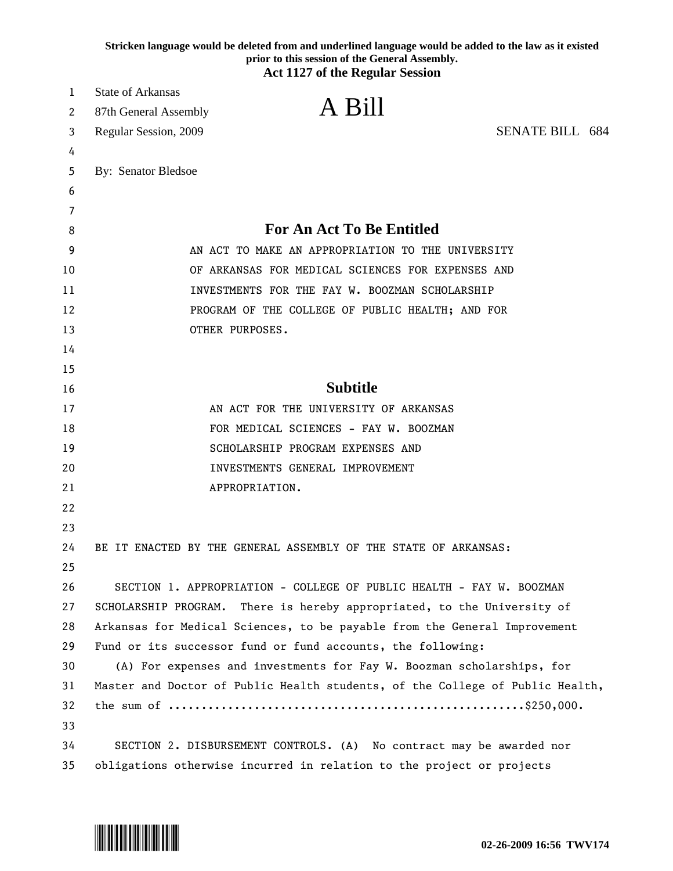|          | Stricken language would be deleted from and underlined language would be added to the law as it existed<br>prior to this session of the General Assembly.<br><b>Act 1127 of the Regular Session</b> |                        |  |  |  |
|----------|-----------------------------------------------------------------------------------------------------------------------------------------------------------------------------------------------------|------------------------|--|--|--|
| 1        | <b>State of Arkansas</b>                                                                                                                                                                            |                        |  |  |  |
| 2        | A Bill<br>87th General Assembly                                                                                                                                                                     |                        |  |  |  |
| 3        | Regular Session, 2009                                                                                                                                                                               | <b>SENATE BILL 684</b> |  |  |  |
| 4        |                                                                                                                                                                                                     |                        |  |  |  |
| 5        | By: Senator Bledsoe                                                                                                                                                                                 |                        |  |  |  |
| 6        |                                                                                                                                                                                                     |                        |  |  |  |
| 7        |                                                                                                                                                                                                     |                        |  |  |  |
| 8        | For An Act To Be Entitled                                                                                                                                                                           |                        |  |  |  |
| 9        | AN ACT TO MAKE AN APPROPRIATION TO THE UNIVERSITY                                                                                                                                                   |                        |  |  |  |
| 10       | OF ARKANSAS FOR MEDICAL SCIENCES FOR EXPENSES AND                                                                                                                                                   |                        |  |  |  |
| 11       | INVESTMENTS FOR THE FAY W. BOOZMAN SCHOLARSHIP                                                                                                                                                      |                        |  |  |  |
| 12       | PROGRAM OF THE COLLEGE OF PUBLIC HEALTH; AND FOR                                                                                                                                                    |                        |  |  |  |
| 13       | OTHER PURPOSES.                                                                                                                                                                                     |                        |  |  |  |
| 14       |                                                                                                                                                                                                     |                        |  |  |  |
| 15       |                                                                                                                                                                                                     |                        |  |  |  |
| 16       | <b>Subtitle</b>                                                                                                                                                                                     |                        |  |  |  |
| 17       | AN ACT FOR THE UNIVERSITY OF ARKANSAS                                                                                                                                                               |                        |  |  |  |
| 18       | FOR MEDICAL SCIENCES - FAY W. BOOZMAN                                                                                                                                                               |                        |  |  |  |
| 19       | SCHOLARSHIP PROGRAM EXPENSES AND                                                                                                                                                                    |                        |  |  |  |
| 20       | INVESTMENTS GENERAL IMPROVEMENT                                                                                                                                                                     |                        |  |  |  |
| 21       | APPROPRIATION.                                                                                                                                                                                      |                        |  |  |  |
| 22       |                                                                                                                                                                                                     |                        |  |  |  |
| 23       |                                                                                                                                                                                                     |                        |  |  |  |
| 24       | BE IT ENACTED BY THE GENERAL ASSEMBLY OF THE STATE OF ARKANSAS:                                                                                                                                     |                        |  |  |  |
| 25       |                                                                                                                                                                                                     |                        |  |  |  |
| 26       | SECTION 1. APPROPRIATION - COLLEGE OF PUBLIC HEALTH - FAY W. BOOZMAN                                                                                                                                |                        |  |  |  |
| 27       | SCHOLARSHIP PROGRAM. There is hereby appropriated, to the University of                                                                                                                             |                        |  |  |  |
| 28       | Arkansas for Medical Sciences, to be payable from the General Improvement                                                                                                                           |                        |  |  |  |
| 29       | Fund or its successor fund or fund accounts, the following:                                                                                                                                         |                        |  |  |  |
| 30       | (A) For expenses and investments for Fay W. Boozman scholarships, for                                                                                                                               |                        |  |  |  |
| 31       | Master and Doctor of Public Health students, of the College of Public Health,                                                                                                                       |                        |  |  |  |
| 32       |                                                                                                                                                                                                     |                        |  |  |  |
| 33<br>34 | SECTION 2. DISBURSEMENT CONTROLS. (A) No contract may be awarded nor                                                                                                                                |                        |  |  |  |
|          |                                                                                                                                                                                                     |                        |  |  |  |

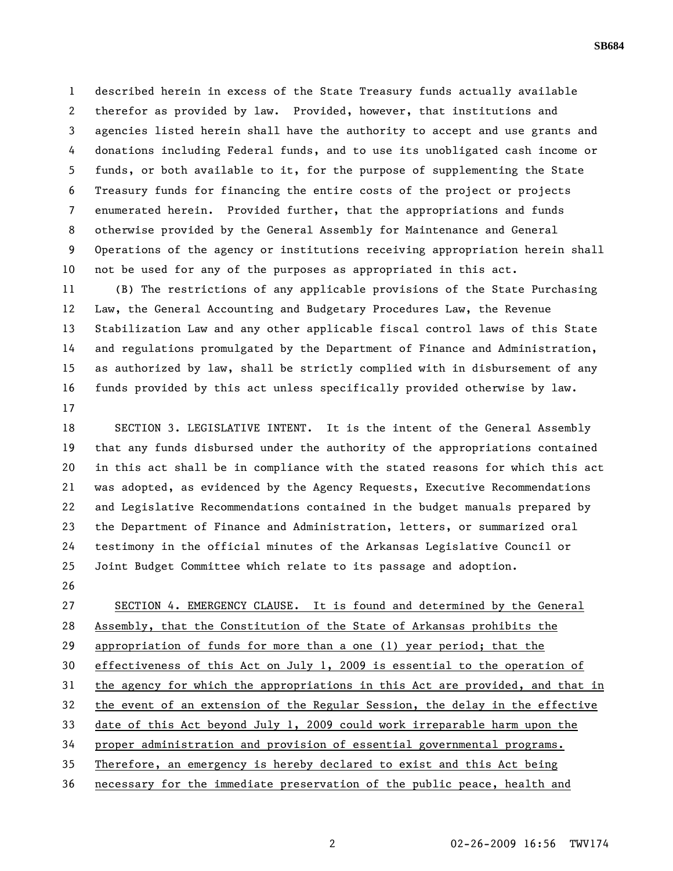1 described herein in excess of the State Treasury funds actually available 2 therefor as provided by law. Provided, however, that institutions and 3 agencies listed herein shall have the authority to accept and use grants and 4 donations including Federal funds, and to use its unobligated cash income or 5 funds, or both available to it, for the purpose of supplementing the State 6 Treasury funds for financing the entire costs of the project or projects 7 enumerated herein. Provided further, that the appropriations and funds 8 otherwise provided by the General Assembly for Maintenance and General 9 Operations of the agency or institutions receiving appropriation herein shall 10 not be used for any of the purposes as appropriated in this act.

11 (B) The restrictions of any applicable provisions of the State Purchasing 12 Law, the General Accounting and Budgetary Procedures Law, the Revenue 13 Stabilization Law and any other applicable fiscal control laws of this State 14 and regulations promulgated by the Department of Finance and Administration, 15 as authorized by law, shall be strictly complied with in disbursement of any 16 funds provided by this act unless specifically provided otherwise by law. 17

18 SECTION 3. LEGISLATIVE INTENT. It is the intent of the General Assembly 19 that any funds disbursed under the authority of the appropriations contained 20 in this act shall be in compliance with the stated reasons for which this act 21 was adopted, as evidenced by the Agency Requests, Executive Recommendations 22 and Legislative Recommendations contained in the budget manuals prepared by 23 the Department of Finance and Administration, letters, or summarized oral 24 testimony in the official minutes of the Arkansas Legislative Council or 25 Joint Budget Committee which relate to its passage and adoption.

26

27 SECTION 4. EMERGENCY CLAUSE. It is found and determined by the General 28 Assembly, that the Constitution of the State of Arkansas prohibits the 29 appropriation of funds for more than a one (1) year period; that the 30 effectiveness of this Act on July 1, 2009 is essential to the operation of 31 the agency for which the appropriations in this Act are provided, and that in 32 the event of an extension of the Regular Session, the delay in the effective 33 date of this Act beyond July 1, 2009 could work irreparable harm upon the 34 proper administration and provision of essential governmental programs. 35 Therefore, an emergency is hereby declared to exist and this Act being 36 necessary for the immediate preservation of the public peace, health and

**SB684**